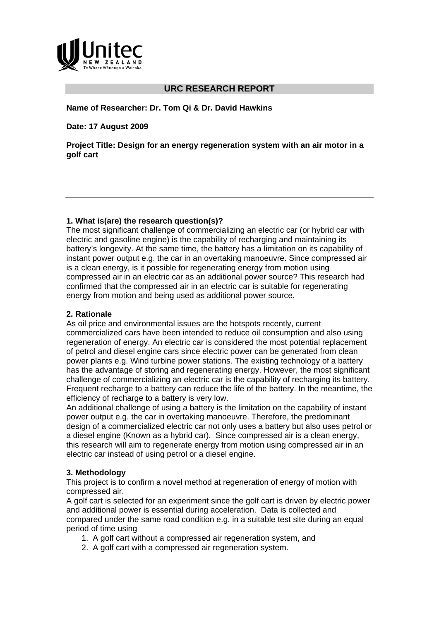

# **URC RESEARCH REPORT**

#### **Name of Researcher: Dr. Tom Qi & Dr. David Hawkins**

**Date: 17 August 2009** 

**Project Title: Design for an energy regeneration system with an air motor in a golf cart** 

#### **1. What is(are) the research question(s)?**

The most significant challenge of commercializing an electric car (or hybrid car with electric and gasoline engine) is the capability of recharging and maintaining its battery's longevity. At the same time, the battery has a limitation on its capability of instant power output e.g. the car in an overtaking manoeuvre. Since compressed air is a clean energy, is it possible for regenerating energy from motion using compressed air in an electric car as an additional power source? This research had confirmed that the compressed air in an electric car is suitable for regenerating energy from motion and being used as additional power source.

#### **2. Rationale**

As oil price and environmental issues are the hotspots recently, current commercialized cars have been intended to reduce oil consumption and also using regeneration of energy. An electric car is considered the most potential replacement of petrol and diesel engine cars since electric power can be generated from clean power plants e.g. Wind turbine power stations. The existing technology of a battery has the advantage of storing and regenerating energy. However, the most significant challenge of commercializing an electric car is the capability of recharging its battery. Frequent recharge to a battery can reduce the life of the battery. In the meantime, the efficiency of recharge to a battery is very low.

An additional challenge of using a battery is the limitation on the capability of instant power output e.g. the car in overtaking manoeuvre. Therefore, the predominant design of a commercialized electric car not only uses a battery but also uses petrol or a diesel engine (Known as a hybrid car). Since compressed air is a clean energy, this research will aim to regenerate energy from motion using compressed air in an electric car instead of using petrol or a diesel engine.

### **3. Methodology**

This project is to confirm a novel method at regeneration of energy of motion with compressed air.

A golf cart is selected for an experiment since the golf cart is driven by electric power and additional power is essential during acceleration. Data is collected and compared under the same road condition e.g. in a suitable test site during an equal period of time using

- 1. A golf cart without a compressed air regeneration system, and
- 2. A golf cart with a compressed air regeneration system.